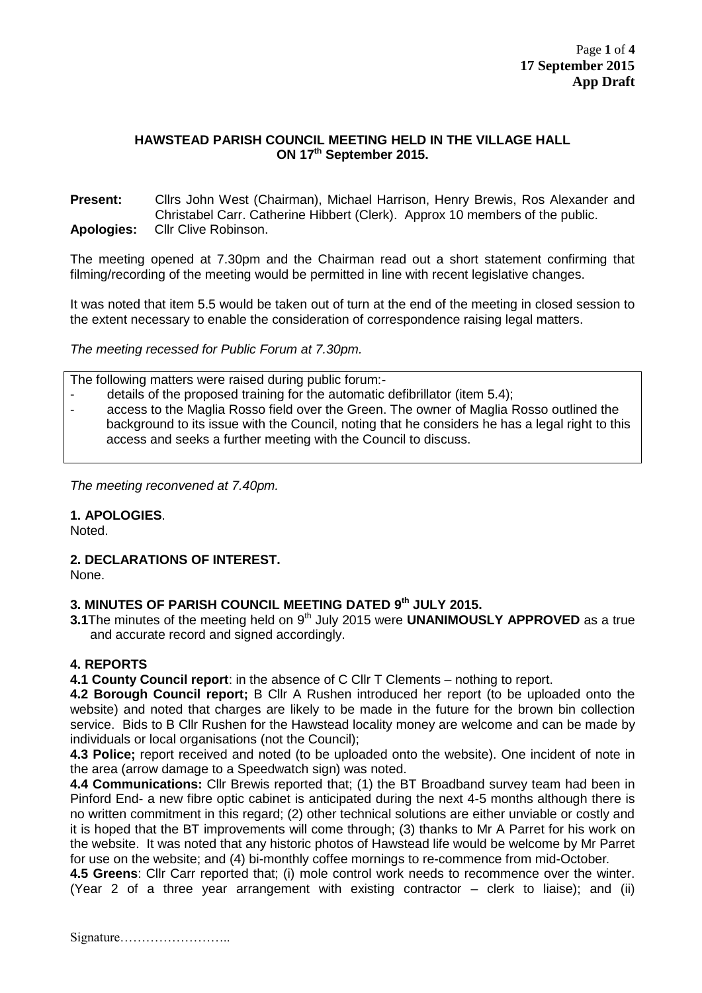#### **HAWSTEAD PARISH COUNCIL MEETING HELD IN THE VILLAGE HALL ON 17th September 2015.**

**Present:** Cllrs John West (Chairman), Michael Harrison, Henry Brewis, Ros Alexander and Christabel Carr. Catherine Hibbert (Clerk). Approx 10 members of the public. **Apologies:** Cllr Clive Robinson.

The meeting opened at 7.30pm and the Chairman read out a short statement confirming that filming/recording of the meeting would be permitted in line with recent legislative changes.

It was noted that item 5.5 would be taken out of turn at the end of the meeting in closed session to the extent necessary to enable the consideration of correspondence raising legal matters.

*The meeting recessed for Public Forum at 7.30pm.*

The following matters were raised during public forum:-

- details of the proposed training for the automatic defibrillator (item 5.4);
- access to the Maglia Rosso field over the Green. The owner of Maglia Rosso outlined the background to its issue with the Council, noting that he considers he has a legal right to this access and seeks a further meeting with the Council to discuss.

*The meeting reconvened at 7.40pm.*

### **1. APOLOGIES**.

Noted.

### **2. DECLARATIONS OF INTEREST.**

None.

### **3. MINUTES OF PARISH COUNCIL MEETING DATED 9 th JULY 2015.**

**3.1** The minutes of the meeting held on 9<sup>th</sup> July 2015 were **UNANIMOUSLY APPROVED** as a true and accurate record and signed accordingly.

### **4. REPORTS**

**4.1 County Council report**: in the absence of C Cllr T Clements – nothing to report.

**4.2 Borough Council report;** B Cllr A Rushen introduced her report (to be uploaded onto the website) and noted that charges are likely to be made in the future for the brown bin collection service. Bids to B Cllr Rushen for the Hawstead locality money are welcome and can be made by individuals or local organisations (not the Council);

**4.3 Police;** report received and noted (to be uploaded onto the website). One incident of note in the area (arrow damage to a Speedwatch sign) was noted.

**4.4 Communications:** Cllr Brewis reported that; (1) the BT Broadband survey team had been in Pinford End- a new fibre optic cabinet is anticipated during the next 4-5 months although there is no written commitment in this regard; (2) other technical solutions are either unviable or costly and it is hoped that the BT improvements will come through; (3) thanks to Mr A Parret for his work on the website. It was noted that any historic photos of Hawstead life would be welcome by Mr Parret for use on the website; and (4) bi-monthly coffee mornings to re-commence from mid-October*.*

**4.5 Greens**: Cllr Carr reported that; (i) mole control work needs to recommence over the winter. (Year 2 of a three year arrangement with existing contractor – clerk to liaise); and (ii)

Signature……………………..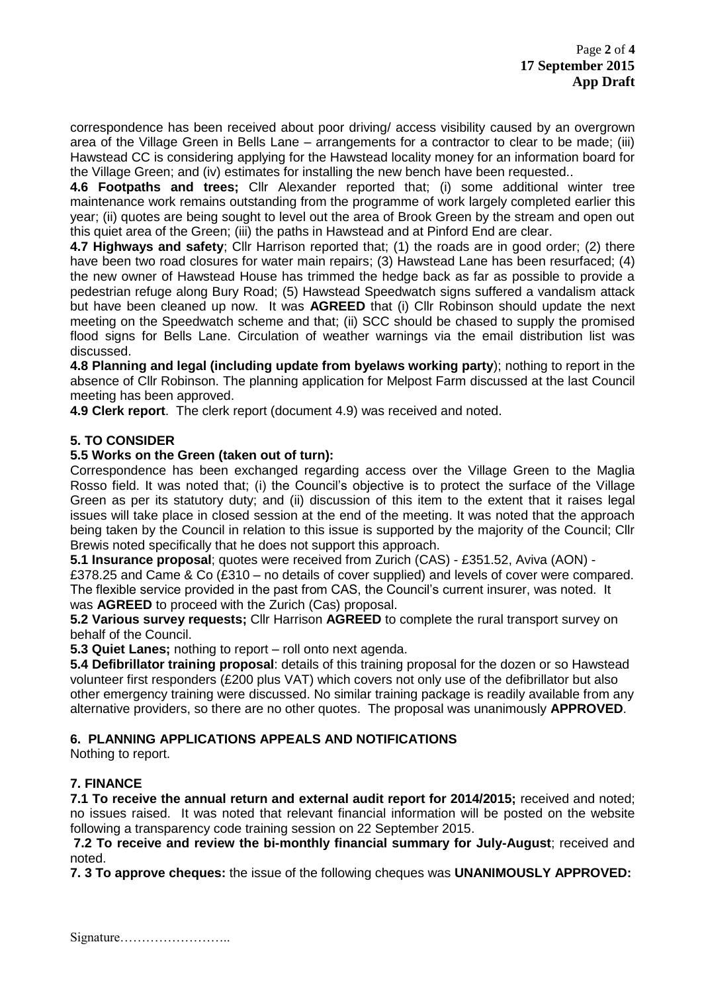correspondence has been received about poor driving/ access visibility caused by an overgrown area of the Village Green in Bells Lane – arrangements for a contractor to clear to be made; (iii) Hawstead CC is considering applying for the Hawstead locality money for an information board for the Village Green; and (iv) estimates for installing the new bench have been requested..

**4.6 Footpaths and trees;** Cllr Alexander reported that; (i) some additional winter tree maintenance work remains outstanding from the programme of work largely completed earlier this year; (ii) quotes are being sought to level out the area of Brook Green by the stream and open out this quiet area of the Green; (iii) the paths in Hawstead and at Pinford End are clear.

**4.7 Highways and safety**; Cllr Harrison reported that; (1) the roads are in good order; (2) there have been two road closures for water main repairs; (3) Hawstead Lane has been resurfaced; (4) the new owner of Hawstead House has trimmed the hedge back as far as possible to provide a pedestrian refuge along Bury Road; (5) Hawstead Speedwatch signs suffered a vandalism attack but have been cleaned up now. It was **AGREED** that (i) Cllr Robinson should update the next meeting on the Speedwatch scheme and that; (ii) SCC should be chased to supply the promised flood signs for Bells Lane. Circulation of weather warnings via the email distribution list was discussed.

**4.8 Planning and legal (including update from byelaws working party**); nothing to report in the absence of Cllr Robinson. The planning application for Melpost Farm discussed at the last Council meeting has been approved.

**4.9 Clerk report**. The clerk report (document 4.9) was received and noted.

### **5. TO CONSIDER**

#### **5.5 Works on the Green (taken out of turn):**

Correspondence has been exchanged regarding access over the Village Green to the Maglia Rosso field. It was noted that; (i) the Council's objective is to protect the surface of the Village Green as per its statutory duty; and (ii) discussion of this item to the extent that it raises legal issues will take place in closed session at the end of the meeting. It was noted that the approach being taken by the Council in relation to this issue is supported by the majority of the Council; Cllr Brewis noted specifically that he does not support this approach.

**5.1 Insurance proposal**; quotes were received from Zurich (CAS) - £351.52, Aviva (AON) -

£378.25 and Came & Co (£310 – no details of cover supplied) and levels of cover were compared. The flexible service provided in the past from CAS, the Council's current insurer, was noted. It was **AGREED** to proceed with the Zurich (Cas) proposal.

**5.2 Various survey requests;** Cllr Harrison **AGREED** to complete the rural transport survey on behalf of the Council.

**5.3 Quiet Lanes;** nothing to report – roll onto next agenda.

**5.4 Defibrillator training proposal**: details of this training proposal for the dozen or so Hawstead volunteer first responders (£200 plus VAT) which covers not only use of the defibrillator but also other emergency training were discussed. No similar training package is readily available from any alternative providers, so there are no other quotes. The proposal was unanimously **APPROVED**.

### **6. PLANNING APPLICATIONS APPEALS AND NOTIFICATIONS**

Nothing to report.

### **7. FINANCE**

**7.1 To receive the annual return and external audit report for 2014/2015;** received and noted; no issues raised. It was noted that relevant financial information will be posted on the website following a transparency code training session on 22 September 2015.

**7.2 To receive and review the bi-monthly financial summary for July-August**; received and noted.

**7. 3 To approve cheques:** the issue of the following cheques was **UNANIMOUSLY APPROVED:**

Signature……………………..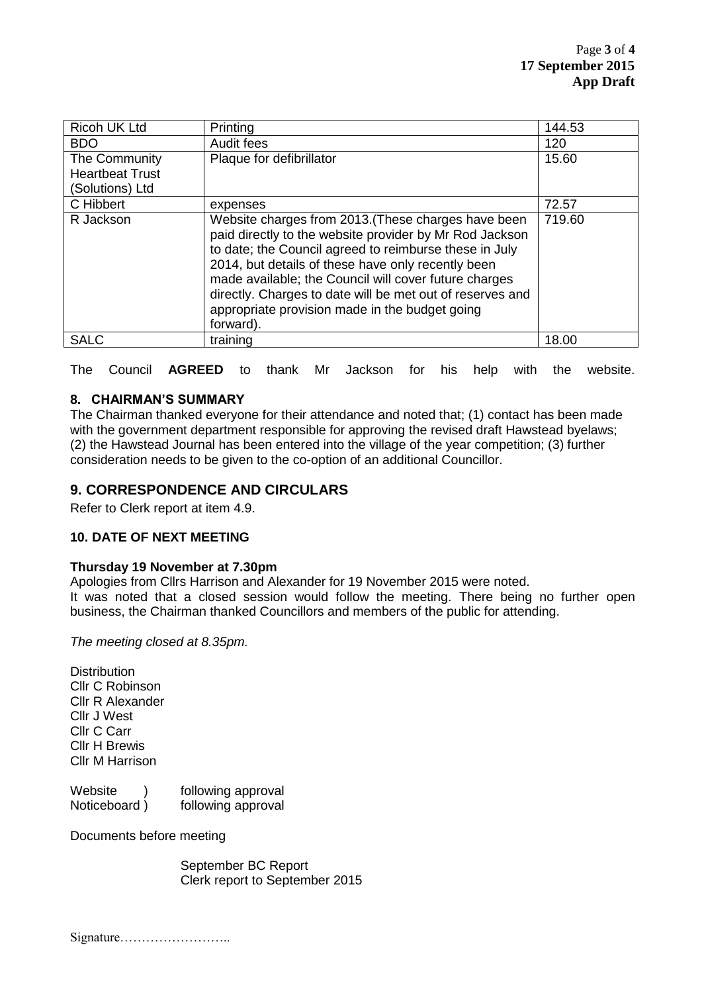| Ricoh UK Ltd           | Printing                                                                                                                                                                                                                                                                                                                                                                                                            | 144.53 |
|------------------------|---------------------------------------------------------------------------------------------------------------------------------------------------------------------------------------------------------------------------------------------------------------------------------------------------------------------------------------------------------------------------------------------------------------------|--------|
| <b>BDO</b>             | Audit fees                                                                                                                                                                                                                                                                                                                                                                                                          | 120    |
| The Community          | Plaque for defibrillator                                                                                                                                                                                                                                                                                                                                                                                            | 15.60  |
| <b>Heartbeat Trust</b> |                                                                                                                                                                                                                                                                                                                                                                                                                     |        |
| (Solutions) Ltd        |                                                                                                                                                                                                                                                                                                                                                                                                                     |        |
| C Hibbert              | expenses                                                                                                                                                                                                                                                                                                                                                                                                            | 72.57  |
| R Jackson              | Website charges from 2013. (These charges have been<br>paid directly to the website provider by Mr Rod Jackson<br>to date; the Council agreed to reimburse these in July<br>2014, but details of these have only recently been<br>made available; the Council will cover future charges<br>directly. Charges to date will be met out of reserves and<br>appropriate provision made in the budget going<br>forward). | 719.60 |
| <b>SALC</b>            | training                                                                                                                                                                                                                                                                                                                                                                                                            | 18.00  |

The Council **AGREED** to thank Mr Jackson for his help with the website.

#### **8. CHAIRMAN'S SUMMARY**

The Chairman thanked everyone for their attendance and noted that; (1) contact has been made with the government department responsible for approving the revised draft Hawstead byelaws; (2) the Hawstead Journal has been entered into the village of the year competition; (3) further consideration needs to be given to the co-option of an additional Councillor.

## **9. CORRESPONDENCE AND CIRCULARS**

Refer to Clerk report at item 4.9.

#### **10. DATE OF NEXT MEETING**

#### **Thursday 19 November at 7.30pm**

Apologies from Cllrs Harrison and Alexander for 19 November 2015 were noted. It was noted that a closed session would follow the meeting. There being no further open business, the Chairman thanked Councillors and members of the public for attending.

*The meeting closed at 8.35pm.* 

**Distribution** Cllr C Robinson Cllr R Alexander Cllr J West Cllr C Carr Cllr H Brewis Cllr M Harrison

| Website      | following approval |
|--------------|--------------------|
| Noticeboard) | following approval |

Documents before meeting

September BC Report Clerk report to September 2015

Signature……………………..